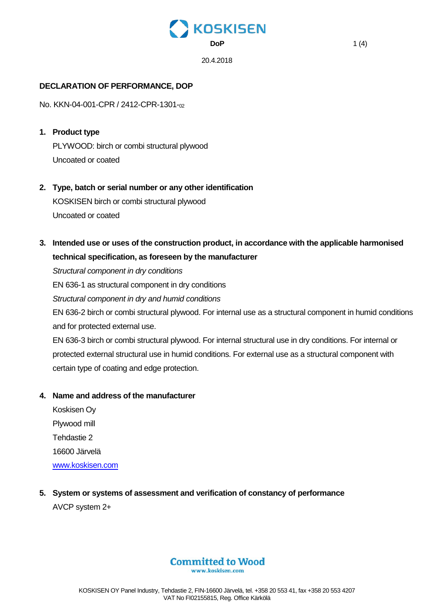

## **DECLARATION OF PERFORMANCE, DOP**

No. KKN-04-001-CPR / 2412-CPR-1301-02

- **1. Product type** PLYWOOD: birch or combi structural plywood Uncoated or coated
- **2. Type, batch or serial number or any other identification** KOSKISEN birch or combi structural plywood Uncoated or coated
- **3. Intended use or uses of the construction product, in accordance with the applicable harmonised technical specification, as foreseen by the manufacturer**

*Structural component in dry conditions*

EN 636-1 as structural component in dry conditions

*Structural component in dry and humid conditions*

EN 636-2 birch or combi structural plywood. For internal use as a structural component in humid conditions and for protected external use.

EN 636-3 birch or combi structural plywood. For internal structural use in dry conditions. For internal or protected external structural use in humid conditions. For external use as a structural component with certain type of coating and edge protection.

#### **4. Name and address of the manufacturer**

Koskisen Oy Plywood mill Tehdastie 2 16600 Järvelä [www.koskisen.com](http://www.koskisen.com/)

**5. System or systems of assessment and verification of constancy of performance** AVCP system 2+

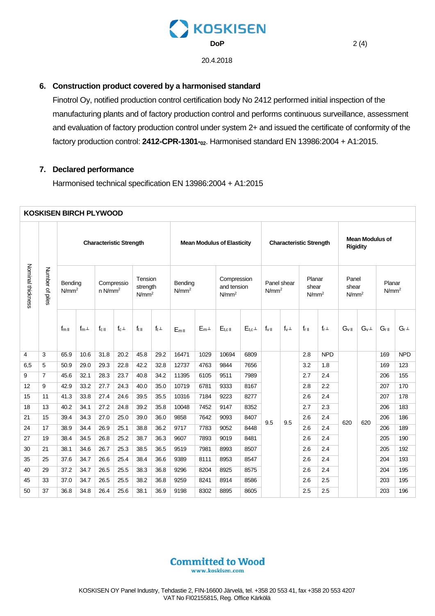

20.4.2018

#### 6. Construction product covered by a harmonised standard

Finotrol Oy, notified production control certification body No 2412 performed initial inspection of the manufacturing plants and of factory production control and performs continuous surveillance, assessment and evaluation of factory production control under system 2+ and issued the certificate of conformity of the factory production control: 2412-CPR-1301-02. Harmonised standard EN 13986:2004 + A1:2015.

### 7. Declared performance

Harmonised technical specification EN 13986:2004 + A1:2015

| <b>KOSKISEN BIRCH PLYWOOD</b> |                 |                              |           |                                     |             |                                          |             |                                   |           |                                                 |           |                                  |             |                                      |             |                                           |            |                             |             |
|-------------------------------|-----------------|------------------------------|-----------|-------------------------------------|-------------|------------------------------------------|-------------|-----------------------------------|-----------|-------------------------------------------------|-----------|----------------------------------|-------------|--------------------------------------|-------------|-------------------------------------------|------------|-----------------------------|-------------|
| Nominal thickness             | Number of piles |                              |           | <b>Characteristic Strength</b>      |             |                                          |             | <b>Mean Modulus of Elasticity</b> |           |                                                 |           | <b>Characteristic Strength</b>   |             |                                      |             | <b>Mean Modulus of</b><br><b>Rigidity</b> |            |                             |             |
|                               |                 | Bending<br>N/mm <sup>2</sup> |           | Compressio<br>$n$ N/mm <sup>2</sup> |             | Tension<br>strength<br>N/mm <sup>2</sup> |             | Bending<br>N/mm <sup>2</sup>      |           | Compression<br>and tension<br>N/mm <sup>2</sup> |           | Panel shear<br>N/mm <sup>2</sup> |             | Planar<br>shear<br>N/mm <sup>2</sup> |             | Panel<br>shear<br>N/mm <sup>2</sup>       |            | Planar<br>N/mm <sup>2</sup> |             |
|                               |                 | $f_{mII}$                    | $f_m\bot$ | $f_{c}$                             | $f_c \perp$ | $f_{t}$                                  | $f_t \perp$ | $E_{mII}$                         | $E_m\bot$ | $E_{\text{t.c.II}}$                             | $E_{t.c}$ | $f_{\vee}$ II                    | $f_v \perp$ | $f_{r}$                              | $f_r \perp$ | $G_{\rm VI}$                              | $G_v \bot$ | $G_{rII}$                   | $G_r \perp$ |
| 4                             | 3               | 65.9                         | 10.6      | 31.8                                | 20.2        | 45.8                                     | 29.2        | 16471                             | 1029      | 10694                                           | 6809      |                                  |             | 2.8                                  | <b>NPD</b>  |                                           |            | 169                         | <b>NPD</b>  |
| 6,5                           | 5               | 50.9                         | 29.0      | 29.3                                | 22.8        | 42.2                                     | 32.8        | 12737                             | 4763      | 9844                                            | 7656      |                                  |             | 3.2                                  | 1.8         |                                           |            | 169                         | 123         |
| 9                             | $\overline{7}$  | 45.6                         | 32.1      | 28.3                                | 23.7        | 40.8                                     | 34.2        | 11395                             | 6105      | 9511                                            | 7989      | 9.5<br>9.5                       |             | 2.7                                  | 2.4         |                                           |            | 206                         | 155         |
| 12                            | 9               | 42.9                         | 33.2      | 27.7                                | 24.3        | 40.0                                     | 35.0        | 10719                             | 6781      | 9333                                            | 8167      |                                  |             | 2.8                                  | 2.2         |                                           | 620        | 207                         | 170         |
| 15                            | 11              | 41.3                         | 33.8      | 27.4                                | 24.6        | 39.5                                     | 35.5        | 10316                             | 7184      | 9223                                            | 8277      |                                  |             | 2.6                                  | 2.4         |                                           |            | 207                         | 178         |
| 18                            | 13              | 40.2                         | 34.1      | 27.2                                | 24.8        | 39.2                                     | 35.8        | 10048                             | 7452      | 9147                                            | 8352      |                                  |             | 2.7                                  | 2.3         |                                           |            | 206                         | 183         |
| 21                            | 15              | 39.4                         | 34.3      | 27.0                                | 25.0        | 39.0                                     | 36.0        | 9858                              | 7642      | 9093                                            | 8407      |                                  |             | 2.6                                  | 2.4         | 620                                       |            | 206                         | 186         |
| 24                            | 17              | 38.9                         | 34.4      | 26.9                                | 25.1        | 38.8                                     | 36.2        | 9717                              | 7783      | 9052                                            | 8448      |                                  |             | 2.6                                  | 2.4         |                                           |            | 206                         | 189         |
| 27                            | 19              | 38.4                         | 34.5      | 26.8                                | 25.2        | 38.7                                     | 36.3        | 9607                              | 7893      | 9019                                            | 8481      |                                  |             | 2.6                                  | 2.4         |                                           |            | 205                         | 190         |
| 30                            | 21              | 38.1                         | 34.6      | 26.7                                | 25.3        | 38.5                                     | 36.5        | 9519                              | 7981      | 8993                                            | 8507      |                                  |             | 2.6                                  | 2.4         |                                           |            | 205                         | 192         |
| 35                            | 25              | 37.6                         | 34.7      | 26.6                                | 25.4        | 38.4                                     | 36.6        | 9389                              | 8111      | 8953                                            | 8547      |                                  |             | 2.6                                  | 2.4         |                                           |            | 204                         | 193         |
| 40                            | 29              | 37.2                         | 34.7      | 26.5                                | 25.5        | 38.3                                     | 36.8        | 9296                              | 8204      | 8925                                            | 8575      |                                  |             | 2.6                                  | 2.4         |                                           |            | 204                         | 195         |
| 45                            | 33              | 37.0                         | 34.7      | 26.5                                | 25.5        | 38.2                                     | 36.8        | 9259                              | 8241      | 8914                                            | 8586      |                                  |             | 2.6                                  | 2.5         |                                           |            | 203                         | 195         |
| 50                            | 37              | 36.8                         | 34.8      | 26.4                                | 25.6        | 38.1                                     | 36.9        | 9198                              | 8302      | 8895                                            | 8605      |                                  |             | 2.5                                  | 2.5         |                                           |            | 203                         | 196         |

# **Committed to Wood**

www.koskisen.com

 $2(4)$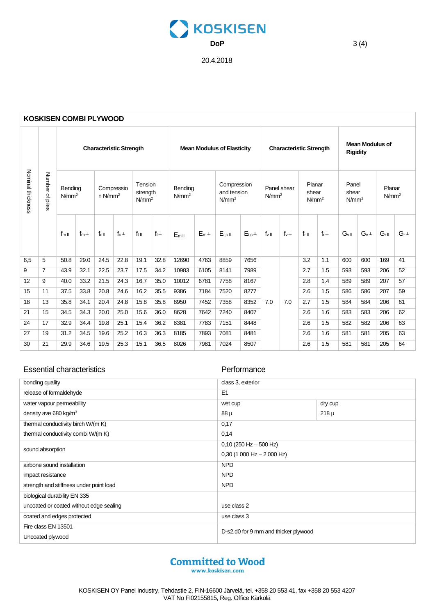

20.4.2018

| <b>KOSKISEN COMBI PLYWOOD</b> |                      |                              |           |                                     |                                |                                          |             |                                   |            |                                                 |           |                                  |             |                                      |             |                                           |            |                             |             |
|-------------------------------|----------------------|------------------------------|-----------|-------------------------------------|--------------------------------|------------------------------------------|-------------|-----------------------------------|------------|-------------------------------------------------|-----------|----------------------------------|-------------|--------------------------------------|-------------|-------------------------------------------|------------|-----------------------------|-------------|
| Nominal thickness             | Number<br>ዹ<br>iples |                              |           |                                     | <b>Characteristic Strength</b> |                                          |             | <b>Mean Modulus of Elasticity</b> |            |                                                 |           | <b>Characteristic Strength</b>   |             |                                      |             | <b>Mean Modulus of</b><br><b>Rigidity</b> |            |                             |             |
|                               |                      | Bending<br>N/mm <sup>2</sup> |           | Compressio<br>$n$ N/mm <sup>2</sup> |                                | Tension<br>strength<br>N/mm <sup>2</sup> |             | Bending<br>N/mm <sup>2</sup>      |            | Compression<br>and tension<br>N/mm <sup>2</sup> |           | Panel shear<br>N/mm <sup>2</sup> |             | Planar<br>shear<br>N/mm <sup>2</sup> |             | Panel<br>shear<br>N/mm <sup>2</sup>       |            | Planar<br>N/mm <sup>2</sup> |             |
|                               |                      | $f_{mII}$                    | $f_m\bot$ | $f_{c}$                             | $f_c\perp$                     | $f_{t}$                                  | $f_t \perp$ | $E_{mII}$                         | $E_m\perp$ | $E_{t,c}$ <sub>II</sub>                         | $E_{t,c}$ | $f_{\rm vII}$                    | $f_v \perp$ | $f_{r  }$                            | $f_r \perp$ | $G_{\vee \,\parallel}$                    | $G_v \bot$ | $G_{rII}$                   | $G_r \perp$ |
| 6,5                           | 5                    | 50.8                         | 29.0      | 24.5                                | 22.8                           | 19.1                                     | 32.8        | 12690                             | 4763       | 8859                                            | 7656      | 7.0                              |             | 3.2                                  | 1.1         | 600                                       | 600        | 169                         | 41          |
| 9                             | $\overline{7}$       | 43.9                         | 32.1      | 22.5                                | 23.7                           | 17.5                                     | 34.2        | 10983                             | 6105       | 8141                                            | 7989      |                                  |             | 2.7                                  | 1.5         | 593                                       | 593        | 206                         | 52          |
| 12                            | 9                    | 40.0                         | 33.2      | 21.5                                | 24.3                           | 16.7                                     | 35.0        | 10012                             | 6781       | 7758                                            | 8167      |                                  |             | 2.8                                  | 1.4         | 589                                       | 589        | 207                         | 57          |
| 15                            | 11                   | 37.5                         | 33.8      | 20.8                                | 24.6                           | 16.2                                     | 35.5        | 9386                              | 7184       | 7520                                            | 8277      |                                  | 7.0         | 2.6                                  | 1.5         | 586                                       | 586        | 207                         | 59          |
| 18                            | 13                   | 35.8                         | 34.1      | 20.4                                | 24.8                           | 15.8                                     | 35.8        | 8950                              | 7452       | 7358                                            | 8352      |                                  |             | 2.7                                  | 1.5         | 584                                       | 584        | 206                         | 61          |
| 21                            | 15                   | 34.5                         | 34.3      | 20.0                                | 25.0                           | 15.6                                     | 36.0        | 8628                              | 7642       | 7240                                            | 8407      |                                  |             | 2.6                                  | 1.6         | 583                                       | 583        | 206                         | 62          |
| 24                            | 17                   | 32.9                         | 34.4      | 19.8                                | 25.1                           | 15.4                                     | 36.2        | 8381                              | 7783       | 7151                                            | 8448      |                                  |             | 2.6                                  | 1.5         | 582                                       | 582        | 206                         | 63          |
| 27                            | 19                   | 31.2                         | 34.5      | 19.6                                | 25.2                           | 16.3                                     | 36.3        | 8185                              | 7893       | 7081                                            | 8481      |                                  |             | 2.6                                  | 1.6         | 581                                       | 581        | 205                         | 63          |
| 30                            | 21                   | 29.9                         | 34.6      | 19.5                                | 25.3                           | 15.1                                     | 36.5        | 8026                              | 7981       | 7024                                            | 8507      |                                  |             | 2.6                                  | 1.5         | 581                                       | 581        | 205                         | 64          |

#### Essential characteristics **Performance**

| bonding quality                         | class 3, exterior                    |           |  |  |  |  |  |
|-----------------------------------------|--------------------------------------|-----------|--|--|--|--|--|
| release of formaldehyde                 | E <sub>1</sub>                       |           |  |  |  |  |  |
| water vapour permeability               | wet cup                              | dry cup   |  |  |  |  |  |
| density ave 680 kg/m <sup>3</sup>       | 88 µ                                 | $218 \mu$ |  |  |  |  |  |
| thermal conductivity birch W/(m K)      | 0,17                                 |           |  |  |  |  |  |
| thermal conductivity combi W/(m K)      | 0,14                                 |           |  |  |  |  |  |
| sound absorption                        | $0,10$ (250 Hz $-$ 500 Hz)           |           |  |  |  |  |  |
|                                         | $0,30$ (1 000 Hz $-$ 2 000 Hz)       |           |  |  |  |  |  |
| airbone sound installation              | <b>NPD</b>                           |           |  |  |  |  |  |
| impact resistance                       | <b>NPD</b>                           |           |  |  |  |  |  |
| strength and stiffness under point load | <b>NPD</b>                           |           |  |  |  |  |  |
| biological durability EN 335            |                                      |           |  |  |  |  |  |
| uncoated or coated without edge sealing | use class 2                          |           |  |  |  |  |  |
| coated and edges protected              | use class 3                          |           |  |  |  |  |  |
| Fire class EN 13501                     | D-s2,d0 for 9 mm and thicker plywood |           |  |  |  |  |  |
| Uncoated plywood                        |                                      |           |  |  |  |  |  |

www.koskisen.com